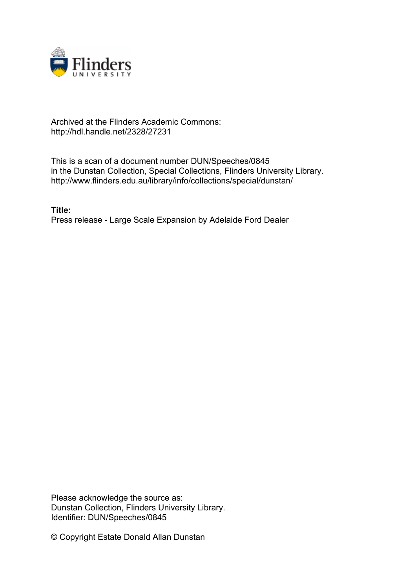

## Archived at the Flinders Academic Commons: http://hdl.handle.net/2328/27231

This is a scan of a document number DUN/Speeches/0845 in the Dunstan Collection, Special Collections, Flinders University Library. http://www.flinders.edu.au/library/info/collections/special/dunstan/

**Title:** Press release - Large Scale Expansion by Adelaide Ford Dealer

Please acknowledge the source as: Dunstan Collection, Flinders University Library. Identifier: DUN/Speeches/0845

© Copyright Estate Donald Allan Dunstan